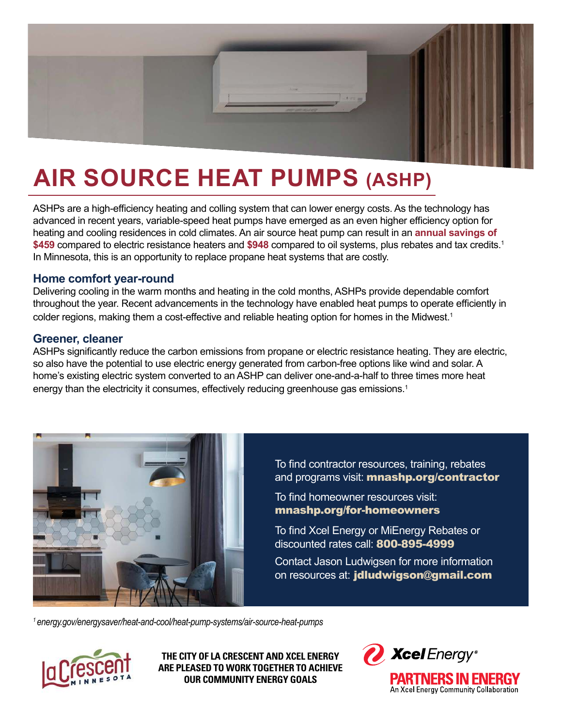

# **AIR SOURCE HEAT PUMPS (ASHP)**

ASHPs are a high-efficiency heating and colling system that can lower energy costs. As the technology has advanced in recent years, variable-speed heat pumps have emerged as an even higher efficiency option for heating and cooling residences in cold climates. An air source heat pump can result in an **annual savings of \$459** compared to electric resistance heaters and **\$948** compared to oil systems, plus rebates and tax credits.<sup>1</sup> In Minnesota, this is an opportunity to replace propane heat systems that are costly.

#### **Home comfort year-round**

Delivering cooling in the warm months and heating in the cold months, ASHPs provide dependable comfort throughout the year. Recent advancements in the technology have enabled heat pumps to operate efficiently in colder regions, making them a cost-effective and reliable heating option for homes in the Midwest.<sup>1</sup>

#### **Greener, cleaner**

ASHPs significantly reduce the carbon emissions from propane or electric resistance heating. They are electric, so also have the potential to use electric energy generated from carbon-free options like wind and solar. A home's existing electric system converted to an ASHP can deliver one-and-a-half to three times more heat energy than the electricity it consumes, effectively reducing greenhouse gas emissions.<sup>1</sup>



To find contractor resources, training, rebates and programs visit: **mnashp.org/contractor** 

To find homeowner resources visit: mnashp.org/for-homeowners

To find Xcel Energy or MiEnergy Rebates or discounted rates call: 800-895-4999

Contact Jason Ludwigsen for more information on resources at: jdludwigson@gmail.com

*1 [energy.gov/energysaver/heat-and-cool/heat-pump-systems/air-source-heat-pumps](http://www.energy.gov/energysaver/heat-and-cool/heat-pump-systems/air-source-heat-pumps)*



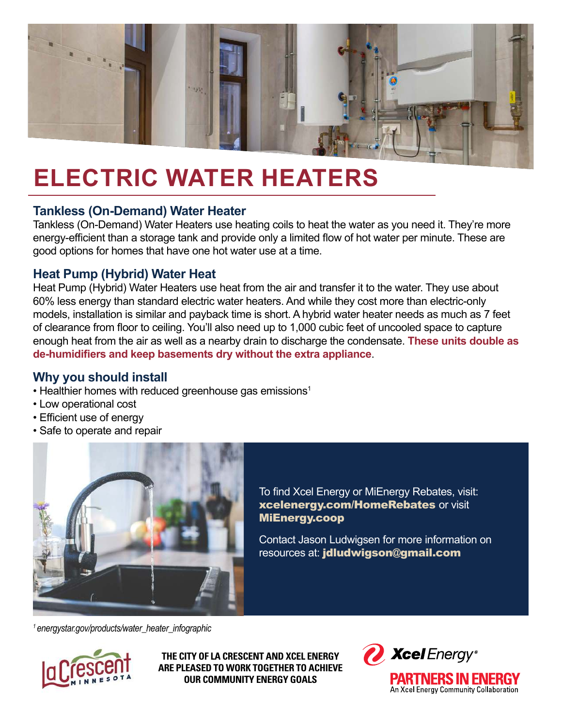

### **ELECTRIC WATER HEATERS**

#### **Tankless (On-Demand) Water Heater**

Tankless (On-Demand) Water Heaters use heating coils to heat the water as you need it. They're more energy-efficient than a storage tank and provide only a limited flow of hot water per minute. These are good options for homes that have one hot water use at a time.

#### **Heat Pump (Hybrid) Water Heat**

Heat Pump (Hybrid) Water Heaters use heat from the air and transfer it to the water. They use about 60% less energy than standard electric water heaters. And while they cost more than electric-only models, installation is similar and payback time is short. A hybrid water heater needs as much as 7 feet of clearance from floor to ceiling. You'll also need up to 1,000 cubic feet of uncooled space to capture enough heat from the air as well as a nearby drain to discharge the condensate. **These units double as de-humidifiers and keep basements dry without the extra appliance**.

#### **Why you should install**

- Healthier homes with reduced greenhouse gas emissions<sup>1</sup>
- Low operational cost
- Efficient use of energy
- Safe to operate and repair



To find Xcel Energy or MiEnergy Rebates, visit: xcelenergy.com/HomeRebates or visit MiEnergy.coop

Contact Jason Ludwigsen for more information on resources at: jdludwigson@gmail.com

*1 [energystar.gov/products/water\\_heater\\_infographic](http://www.energystar.gov/products/water_heater_infographic)*



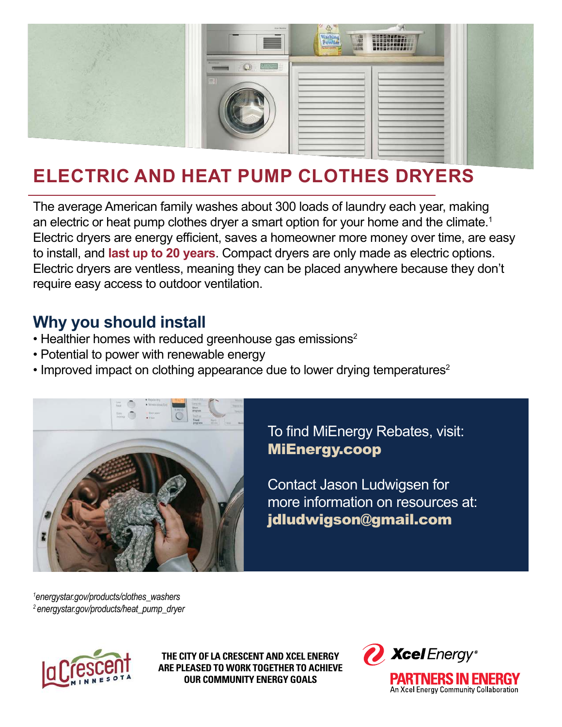

### **ELECTRIC AND HEAT PUMP CLOTHES DRYERS**

The average American family washes about 300 loads of laundry each year, making an electric or heat pump clothes dryer a smart option for your home and the climate.<sup>1</sup> Electric dryers are energy efficient, saves a homeowner more money over time, are easy to install, and **last up to 20 years**. Compact dryers are only made as electric options. Electric dryers are ventless, meaning they can be placed anywhere because they don't require easy access to outdoor ventilation.

### **Why you should install**

- Healthier homes with reduced greenhouse gas emissions<sup>2</sup>
- Potential to power with renewable energy
- Improved impact on clothing appearance due to lower drying temperatures<sup>2</sup>



To find MiEnergy Rebates, visit: MiEnergy.coop

Contact Jason Ludwigsen for more information on resources at: jdludwigson@gmail.com

*<sup>1</sup>[energystar.gov/products/clothes\\_washers](http://www.energystar.gov/products/clothes_washers) 2 [energystar.gov/products/heat\\_pump\\_dryer](http://www.energystar.gov/products/heat_pump_dryer)*